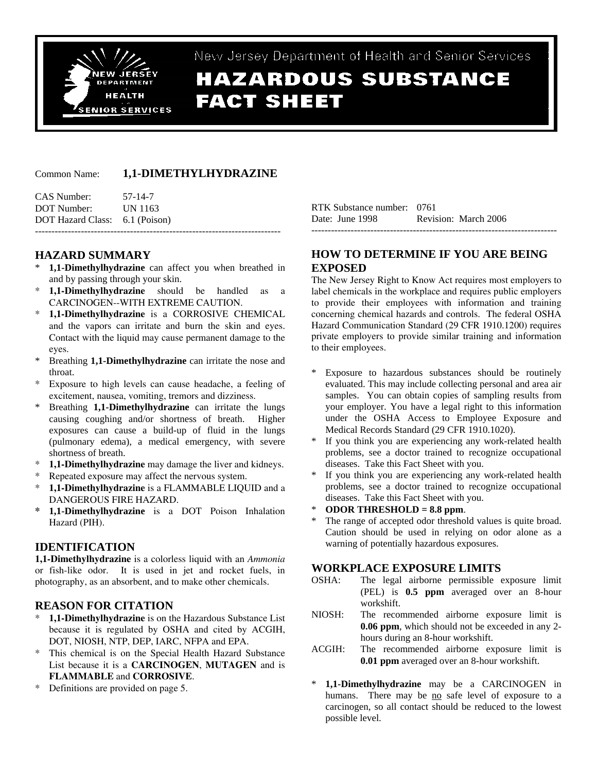

## New Jersey Department of Health and Senior Service

# **HAZARDOUS SUBSTANCE FACT SHEET**

## Common Name: **1,1-DIMETHYLHYDRAZINE**

| CAS Number:                    | 57-14-7 |
|--------------------------------|---------|
| DOT Number:                    | UN 1163 |
| DOT Hazard Class: 6.1 (Poison) |         |
|                                |         |

## **HAZARD SUMMARY**

- 1,1-Dimethylhydrazine can affect you when breathed in and by passing through your skin.
- \* **1,1-Dimethylhydrazine** should be handled as a CARCINOGEN--WITH EXTREME CAUTION.
- \* **1,1-Dimethylhydrazine** is a CORROSIVE CHEMICAL and the vapors can irritate and burn the skin and eyes. Contact with the liquid may cause permanent damage to the eyes.
- \* Breathing **1,1-Dimethylhydrazine** can irritate the nose and throat.
- Exposure to high levels can cause headache, a feeling of excitement, nausea, vomiting, tremors and dizziness.
- Breathing **1,1-Dimethylhydrazine** can irritate the lungs causing coughing and/or shortness of breath. Higher exposures can cause a build-up of fluid in the lungs (pulmonary edema), a medical emergency, with severe shortness of breath.
- 1,1-Dimethylhydrazine may damage the liver and kidneys.
- Repeated exposure may affect the nervous system.
- \* **1,1-Dimethylhydrazine** is a FLAMMABLE LIQUID and a DANGEROUS FIRE HAZARD.
- **\* 1,1-Dimethylhydrazine** is a DOT Poison Inhalation Hazard (PIH).

## **IDENTIFICATION**

**1,1-Dimethylhydrazine** is a colorless liquid with an *Ammonia* or fish-like odor. It is used in jet and rocket fuels, in photography, as an absorbent, and to make other chemicals.

## **REASON FOR CITATION**

- 1,1-Dimethylhydrazine is on the Hazardous Substance List because it is regulated by OSHA and cited by ACGIH, DOT, NIOSH, NTP, DEP, IARC, NFPA and EPA.
- \* This chemical is on the Special Health Hazard Substance List because it is a **CARCINOGEN**, **MUTAGEN** and is **FLAMMABLE** and **CORROSIVE**.
- \* Definitions are provided on page 5.

RTK Substance number: 0761 Date: June 1998 Revision: March 2006 ---------------------------------------------------------------------------

## **HOW TO DETERMINE IF YOU ARE BEING EXPOSED**

The New Jersey Right to Know Act requires most employers to label chemicals in the workplace and requires public employers to provide their employees with information and training concerning chemical hazards and controls. The federal OSHA Hazard Communication Standard (29 CFR 1910.1200) requires private employers to provide similar training and information to their employees.

- \* Exposure to hazardous substances should be routinely evaluated. This may include collecting personal and area air samples. You can obtain copies of sampling results from your employer. You have a legal right to this information under the OSHA Access to Employee Exposure and Medical Records Standard (29 CFR 1910.1020).
- If you think you are experiencing any work-related health problems, see a doctor trained to recognize occupational diseases. Take this Fact Sheet with you.
- If you think you are experiencing any work-related health problems, see a doctor trained to recognize occupational diseases. Take this Fact Sheet with you.
- **ODOR THRESHOLD = 8.8 ppm.**
- The range of accepted odor threshold values is quite broad. Caution should be used in relying on odor alone as a warning of potentially hazardous exposures.

## **WORKPLACE EXPOSURE LIMITS**

- OSHA: The legal airborne permissible exposure limit (PEL) is **0.5 ppm** averaged over an 8-hour workshift.
- NIOSH: The recommended airborne exposure limit is **0.06 ppm**, which should not be exceeded in any 2 hours during an 8-hour workshift.
- ACGIH: The recommended airborne exposure limit is **0.01 ppm** averaged over an 8-hour workshift.
- \* **1,1-Dimethylhydrazine** may be a CARCINOGEN in humans. There may be no safe level of exposure to a carcinogen, so all contact should be reduced to the lowest possible level.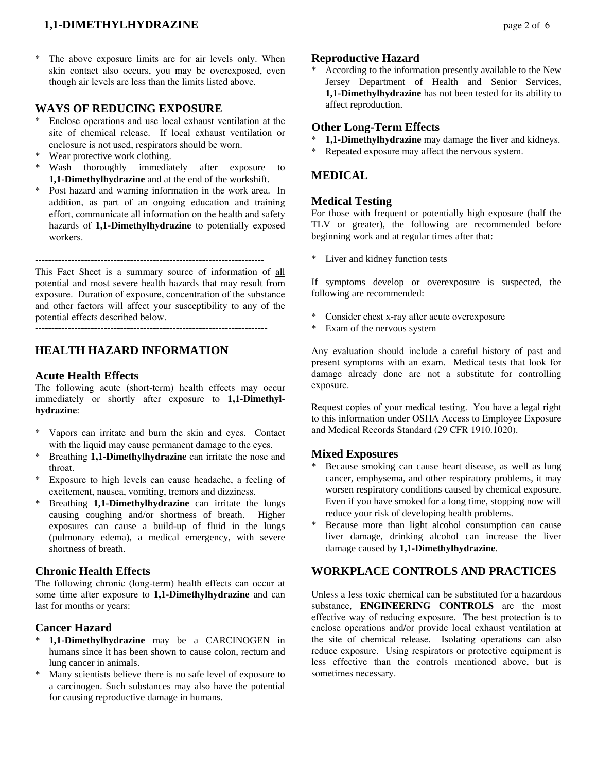## **1,1-DIMETHYLHYDRAZINE** page 2 of 6

The above exposure limits are for air levels only. When skin contact also occurs, you may be overexposed, even though air levels are less than the limits listed above.

## **WAYS OF REDUCING EXPOSURE**

- Enclose operations and use local exhaust ventilation at the site of chemical release. If local exhaust ventilation or enclosure is not used, respirators should be worn.
- Wear protective work clothing.
- \* Wash thoroughly immediately after exposure to **1,1-Dimethylhydrazine** and at the end of the workshift.
- \* Post hazard and warning information in the work area. In addition, as part of an ongoing education and training effort, communicate all information on the health and safety hazards of **1,1-Dimethylhydrazine** to potentially exposed workers.

----------------------------------------------------------------------

This Fact Sheet is a summary source of information of all potential and most severe health hazards that may result from exposure. Duration of exposure, concentration of the substance and other factors will affect your susceptibility to any of the potential effects described below.

-----------------------------------------------------------------------

## **HEALTH HAZARD INFORMATION**

#### **Acute Health Effects**

The following acute (short-term) health effects may occur immediately or shortly after exposure to **1,1-Dimethylhydrazine**:

- Vapors can irritate and burn the skin and eyes. Contact with the liquid may cause permanent damage to the eyes.
- \* Breathing **1,1-Dimethylhydrazine** can irritate the nose and throat.
- \* Exposure to high levels can cause headache, a feeling of excitement, nausea, vomiting, tremors and dizziness.
- Breathing **1,1-Dimethylhydrazine** can irritate the lungs causing coughing and/or shortness of breath. Higher exposures can cause a build-up of fluid in the lungs (pulmonary edema), a medical emergency, with severe shortness of breath.

## **Chronic Health Effects**

The following chronic (long-term) health effects can occur at some time after exposure to **1,1-Dimethylhydrazine** and can last for months or years:

## **Cancer Hazard**

- 1,1-Dimethylhydrazine may be a CARCINOGEN in humans since it has been shown to cause colon, rectum and lung cancer in animals.
- \* Many scientists believe there is no safe level of exposure to a carcinogen. Such substances may also have the potential for causing reproductive damage in humans.

#### **Reproductive Hazard**

According to the information presently available to the New Jersey Department of Health and Senior Services, **1,1-Dimethylhydrazine** has not been tested for its ability to affect reproduction.

#### **Other Long-Term Effects**

- **1,1-Dimethylhydrazine** may damage the liver and kidneys.
- \* Repeated exposure may affect the nervous system.

## **MEDICAL**

## **Medical Testing**

For those with frequent or potentially high exposure (half the TLV or greater), the following are recommended before beginning work and at regular times after that:

\* Liver and kidney function tests

If symptoms develop or overexposure is suspected, the following are recommended:

- \* Consider chest x-ray after acute overexposure
- \* Exam of the nervous system

Any evaluation should include a careful history of past and present symptoms with an exam. Medical tests that look for damage already done are not a substitute for controlling exposure.

Request copies of your medical testing. You have a legal right to this information under OSHA Access to Employee Exposure and Medical Records Standard (29 CFR 1910.1020).

#### **Mixed Exposures**

- Because smoking can cause heart disease, as well as lung cancer, emphysema, and other respiratory problems, it may worsen respiratory conditions caused by chemical exposure. Even if you have smoked for a long time, stopping now will reduce your risk of developing health problems.
- Because more than light alcohol consumption can cause liver damage, drinking alcohol can increase the liver damage caused by **1,1-Dimethylhydrazine**.

## **WORKPLACE CONTROLS AND PRACTICES**

Unless a less toxic chemical can be substituted for a hazardous substance, **ENGINEERING CONTROLS** are the most effective way of reducing exposure. The best protection is to enclose operations and/or provide local exhaust ventilation at the site of chemical release. Isolating operations can also reduce exposure. Using respirators or protective equipment is less effective than the controls mentioned above, but is sometimes necessary.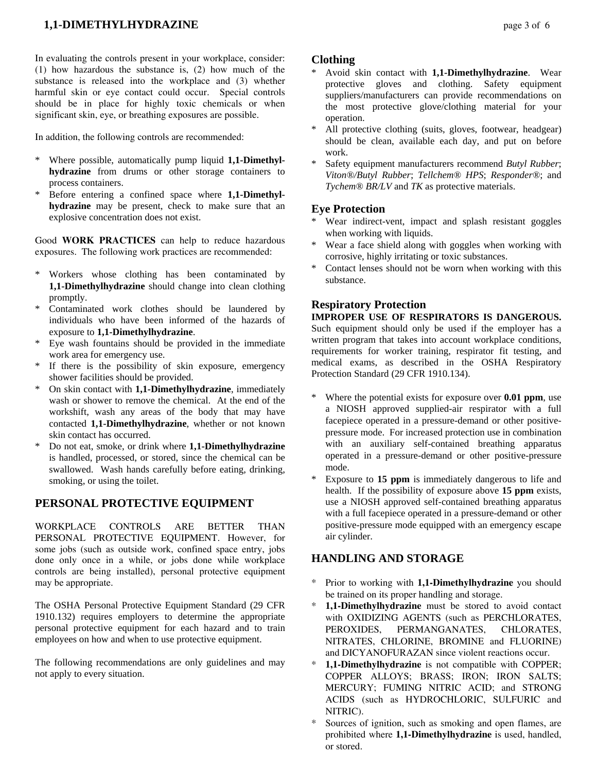In evaluating the controls present in your workplace, consider: (1) how hazardous the substance is, (2) how much of the substance is released into the workplace and (3) whether harmful skin or eye contact could occur. Special controls should be in place for highly toxic chemicals or when significant skin, eye, or breathing exposures are possible.

In addition, the following controls are recommended:

- \* Where possible, automatically pump liquid **1,1-Dimethylhydrazine** from drums or other storage containers to process containers.
- Before entering a confined space where **1,1-Dimethylhydrazine** may be present, check to make sure that an explosive concentration does not exist.

Good **WORK PRACTICES** can help to reduce hazardous exposures. The following work practices are recommended:

- \* Workers whose clothing has been contaminated by **1,1-Dimethylhydrazine** should change into clean clothing promptly.
- Contaminated work clothes should be laundered by individuals who have been informed of the hazards of exposure to **1,1-Dimethylhydrazine**.
- \* Eye wash fountains should be provided in the immediate work area for emergency use.
- \* If there is the possibility of skin exposure, emergency shower facilities should be provided.
- \* On skin contact with **1,1-Dimethylhydrazine**, immediately wash or shower to remove the chemical. At the end of the workshift, wash any areas of the body that may have contacted **1,1-Dimethylhydrazine**, whether or not known skin contact has occurred.
- \* Do not eat, smoke, or drink where **1,1-Dimethylhydrazine** is handled, processed, or stored, since the chemical can be swallowed. Wash hands carefully before eating, drinking, smoking, or using the toilet.

## **PERSONAL PROTECTIVE EQUIPMENT**

WORKPLACE CONTROLS ARE BETTER THAN PERSONAL PROTECTIVE EQUIPMENT. However, for some jobs (such as outside work, confined space entry, jobs done only once in a while, or jobs done while workplace controls are being installed), personal protective equipment may be appropriate.

The OSHA Personal Protective Equipment Standard (29 CFR 1910.132) requires employers to determine the appropriate personal protective equipment for each hazard and to train employees on how and when to use protective equipment.

The following recommendations are only guidelines and may not apply to every situation.

## **Clothing**

- \* Avoid skin contact with **1,1-Dimethylhydrazine**. Wear protective gloves and clothing. Safety equipment suppliers/manufacturers can provide recommendations on the most protective glove/clothing material for your operation.
- All protective clothing (suits, gloves, footwear, headgear) should be clean, available each day, and put on before work.
- Safety equipment manufacturers recommend *Butyl Rubber*; *Viton®/Butyl Rubber*; *Tellchem® HPS*; *Responder®*; and *Tychem® BR/LV* and *TK* as protective materials.

## **Eye Protection**

- \* Wear indirect-vent, impact and splash resistant goggles when working with liquids.
- Wear a face shield along with goggles when working with corrosive, highly irritating or toxic substances.
- Contact lenses should not be worn when working with this substance.

## **Respiratory Protection**

**IMPROPER USE OF RESPIRATORS IS DANGEROUS.** Such equipment should only be used if the employer has a written program that takes into account workplace conditions, requirements for worker training, respirator fit testing, and medical exams, as described in the OSHA Respiratory Protection Standard (29 CFR 1910.134).

- \* Where the potential exists for exposure over **0.01 ppm**, use a NIOSH approved supplied-air respirator with a full facepiece operated in a pressure-demand or other positivepressure mode. For increased protection use in combination with an auxiliary self-contained breathing apparatus operated in a pressure-demand or other positive-pressure mode.
- Exposure to 15 ppm is immediately dangerous to life and health. If the possibility of exposure above **15 ppm** exists, use a NIOSH approved self-contained breathing apparatus with a full facepiece operated in a pressure-demand or other positive-pressure mode equipped with an emergency escape air cylinder.

## **HANDLING AND STORAGE**

- Prior to working with **1,1-Dimethylhydrazine** you should be trained on its proper handling and storage.
- **1,1-Dimethylhydrazine** must be stored to avoid contact with OXIDIZING AGENTS (such as PERCHLORATES, PEROXIDES, PERMANGANATES, CHLORATES, NITRATES, CHLORINE, BROMINE and FLUORINE) and DICYANOFURAZAN since violent reactions occur.
- **1,1-Dimethylhydrazine** is not compatible with COPPER; COPPER ALLOYS; BRASS; IRON; IRON SALTS; MERCURY; FUMING NITRIC ACID; and STRONG ACIDS (such as HYDROCHLORIC, SULFURIC and NITRIC).
- \* Sources of ignition, such as smoking and open flames, are prohibited where **1,1-Dimethylhydrazine** is used, handled, or stored.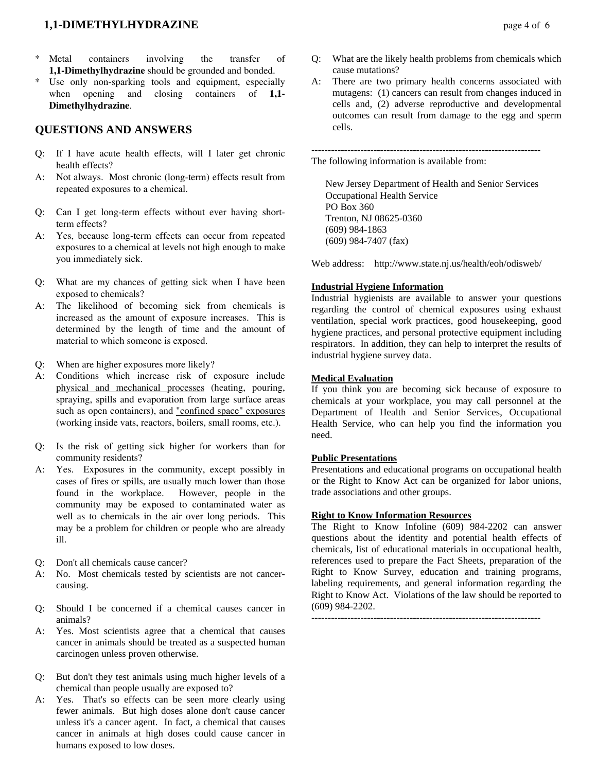## **1,1-DIMETHYLHYDRAZINE** page 4 of 6

- Metal containers involving the transfer of **1,1-Dimethylhydrazine** should be grounded and bonded.
- Use only non-sparking tools and equipment, especially when opening and closing containers of **1,1- Dimethylhydrazine**.

## **QUESTIONS AND ANSWERS**

- Q: If I have acute health effects, will I later get chronic health effects?
- A: Not always. Most chronic (long-term) effects result from repeated exposures to a chemical.
- Q: Can I get long-term effects without ever having shortterm effects?
- A: Yes, because long-term effects can occur from repeated exposures to a chemical at levels not high enough to make you immediately sick.
- Q: What are my chances of getting sick when I have been exposed to chemicals?
- A: The likelihood of becoming sick from chemicals is increased as the amount of exposure increases. This is determined by the length of time and the amount of material to which someone is exposed.
- Q: When are higher exposures more likely?
- A: Conditions which increase risk of exposure include physical and mechanical processes (heating, pouring, spraying, spills and evaporation from large surface areas such as open containers), and "confined space" exposures (working inside vats, reactors, boilers, small rooms, etc.).
- Q: Is the risk of getting sick higher for workers than for community residents?
- A: Yes. Exposures in the community, except possibly in cases of fires or spills, are usually much lower than those found in the workplace. However, people in the community may be exposed to contaminated water as well as to chemicals in the air over long periods. This may be a problem for children or people who are already ill.
- Q: Don't all chemicals cause cancer?
- A: No. Most chemicals tested by scientists are not cancercausing.
- Q: Should I be concerned if a chemical causes cancer in animals?
- A: Yes. Most scientists agree that a chemical that causes cancer in animals should be treated as a suspected human carcinogen unless proven otherwise.
- Q: But don't they test animals using much higher levels of a chemical than people usually are exposed to?
- A: Yes. That's so effects can be seen more clearly using fewer animals. But high doses alone don't cause cancer unless it's a cancer agent. In fact, a chemical that causes cancer in animals at high doses could cause cancer in humans exposed to low doses.
- Q: What are the likely health problems from chemicals which cause mutations?
- A: There are two primary health concerns associated with mutagens: (1) cancers can result from changes induced in cells and, (2) adverse reproductive and developmental outcomes can result from damage to the egg and sperm cells.

----------------------------------------------------------------------

The following information is available from:

 New Jersey Department of Health and Senior Services Occupational Health Service PO Box 360 Trenton, NJ 08625-0360 (609) 984-1863 (609) 984-7407 (fax)

Web address: http://www.state.nj.us/health/eoh/odisweb/

## **Industrial Hygiene Information**

Industrial hygienists are available to answer your questions regarding the control of chemical exposures using exhaust ventilation, special work practices, good housekeeping, good hygiene practices, and personal protective equipment including respirators. In addition, they can help to interpret the results of industrial hygiene survey data.

#### **Medical Evaluation**

If you think you are becoming sick because of exposure to chemicals at your workplace, you may call personnel at the Department of Health and Senior Services, Occupational Health Service, who can help you find the information you need.

#### **Public Presentations**

Presentations and educational programs on occupational health or the Right to Know Act can be organized for labor unions, trade associations and other groups.

## **Right to Know Information Resources**

The Right to Know Infoline (609) 984-2202 can answer questions about the identity and potential health effects of chemicals, list of educational materials in occupational health, references used to prepare the Fact Sheets, preparation of the Right to Know Survey, education and training programs, labeling requirements, and general information regarding the Right to Know Act. Violations of the law should be reported to (609) 984-2202.

----------------------------------------------------------------------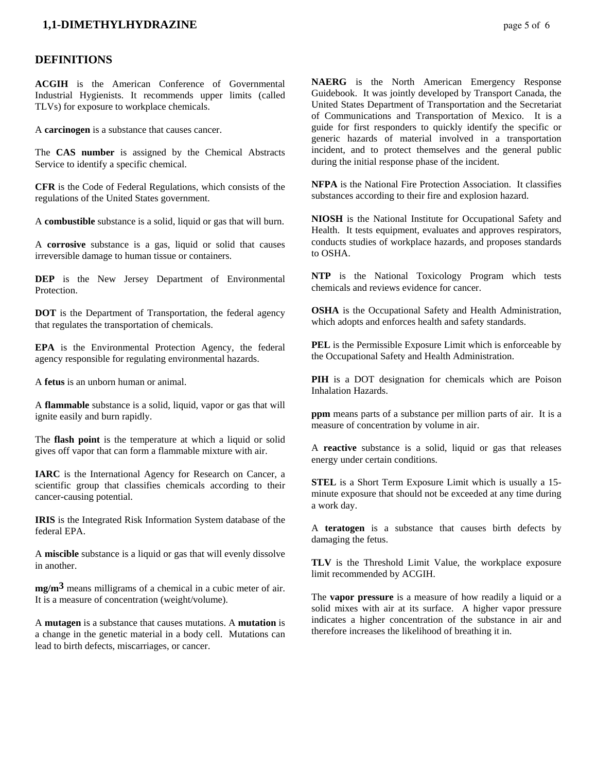## **1,1-DIMETHYLHYDRAZINE** page 5 of 6

#### **DEFINITIONS**

**ACGIH** is the American Conference of Governmental Industrial Hygienists. It recommends upper limits (called TLVs) for exposure to workplace chemicals.

A **carcinogen** is a substance that causes cancer.

The **CAS number** is assigned by the Chemical Abstracts Service to identify a specific chemical.

**CFR** is the Code of Federal Regulations, which consists of the regulations of the United States government.

A **combustible** substance is a solid, liquid or gas that will burn.

A **corrosive** substance is a gas, liquid or solid that causes irreversible damage to human tissue or containers.

**DEP** is the New Jersey Department of Environmental **Protection** 

**DOT** is the Department of Transportation, the federal agency that regulates the transportation of chemicals.

**EPA** is the Environmental Protection Agency, the federal agency responsible for regulating environmental hazards.

A **fetus** is an unborn human or animal.

A **flammable** substance is a solid, liquid, vapor or gas that will ignite easily and burn rapidly.

The **flash point** is the temperature at which a liquid or solid gives off vapor that can form a flammable mixture with air.

**IARC** is the International Agency for Research on Cancer, a scientific group that classifies chemicals according to their cancer-causing potential.

**IRIS** is the Integrated Risk Information System database of the federal EPA.

A **miscible** substance is a liquid or gas that will evenly dissolve in another.

**mg/m3** means milligrams of a chemical in a cubic meter of air. It is a measure of concentration (weight/volume).

A **mutagen** is a substance that causes mutations. A **mutation** is a change in the genetic material in a body cell. Mutations can lead to birth defects, miscarriages, or cancer.

**NAERG** is the North American Emergency Response Guidebook. It was jointly developed by Transport Canada, the United States Department of Transportation and the Secretariat of Communications and Transportation of Mexico. It is a guide for first responders to quickly identify the specific or generic hazards of material involved in a transportation incident, and to protect themselves and the general public during the initial response phase of the incident.

**NFPA** is the National Fire Protection Association. It classifies substances according to their fire and explosion hazard.

**NIOSH** is the National Institute for Occupational Safety and Health. It tests equipment, evaluates and approves respirators, conducts studies of workplace hazards, and proposes standards to OSHA.

**NTP** is the National Toxicology Program which tests chemicals and reviews evidence for cancer.

**OSHA** is the Occupational Safety and Health Administration, which adopts and enforces health and safety standards.

**PEL** is the Permissible Exposure Limit which is enforceable by the Occupational Safety and Health Administration.

**PIH** is a DOT designation for chemicals which are Poison Inhalation Hazards.

**ppm** means parts of a substance per million parts of air. It is a measure of concentration by volume in air.

A **reactive** substance is a solid, liquid or gas that releases energy under certain conditions.

**STEL** is a Short Term Exposure Limit which is usually a 15 minute exposure that should not be exceeded at any time during a work day.

A **teratogen** is a substance that causes birth defects by damaging the fetus.

**TLV** is the Threshold Limit Value, the workplace exposure limit recommended by ACGIH.

The **vapor pressure** is a measure of how readily a liquid or a solid mixes with air at its surface. A higher vapor pressure indicates a higher concentration of the substance in air and therefore increases the likelihood of breathing it in.